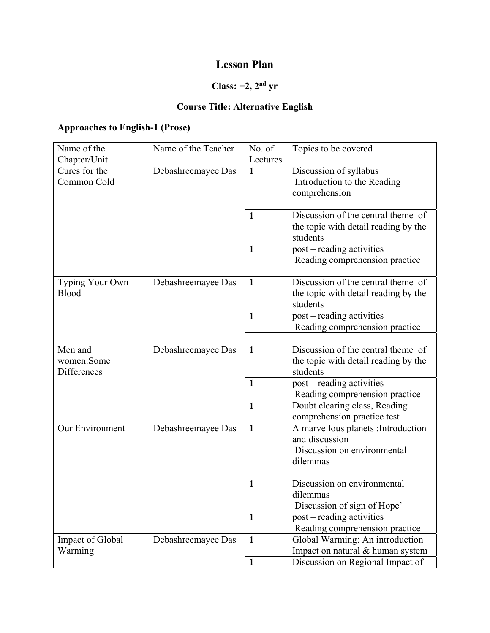## **Lesson Plan**

# **Class: +2, 2nd yr**

#### **Course Title: Alternative English**

#### **Approaches to English-1 (Prose)**

| Name of the                                  | Name of the Teacher | No. of        | Topics to be covered                                                                             |
|----------------------------------------------|---------------------|---------------|--------------------------------------------------------------------------------------------------|
| Chapter/Unit<br>Cures for the<br>Common Cold | Debashreemayee Das  | Lectures<br>1 | Discussion of syllabus<br>Introduction to the Reading<br>comprehension                           |
|                                              |                     | 1             | Discussion of the central theme of<br>the topic with detail reading by the<br>students           |
|                                              |                     | $\mathbf{1}$  | post - reading activities<br>Reading comprehension practice                                      |
| Typing Your Own<br>Blood                     | Debashreemayee Das  | $\mathbf{1}$  | Discussion of the central theme of<br>the topic with detail reading by the<br>students           |
|                                              |                     | $\mathbf{1}$  | post - reading activities<br>Reading comprehension practice                                      |
| Men and<br>women:Some<br>Differences         | Debashreemayee Das  | $\mathbf{1}$  | Discussion of the central theme of<br>the topic with detail reading by the<br>students           |
|                                              |                     | $\mathbf{1}$  | post – reading activities<br>Reading comprehension practice                                      |
|                                              |                     | $\mathbf{1}$  | Doubt clearing class, Reading<br>comprehension practice test                                     |
| Our Environment                              | Debashreemayee Das  | $\mathbf{1}$  | A marvellous planets : Introduction<br>and discussion<br>Discussion on environmental<br>dilemmas |
|                                              |                     | $\mathbf{1}$  | Discussion on environmental<br>dilemmas<br>Discussion of sign of Hope'                           |
|                                              |                     | $\mathbf{1}$  | post – reading activities<br>Reading comprehension practice                                      |
| Impact of Global<br>Warming                  | Debashreemayee Das  | $\mathbf{1}$  | Global Warming: An introduction<br>Impact on natural & human system                              |
|                                              |                     | $\mathbf{1}$  | Discussion on Regional Impact of                                                                 |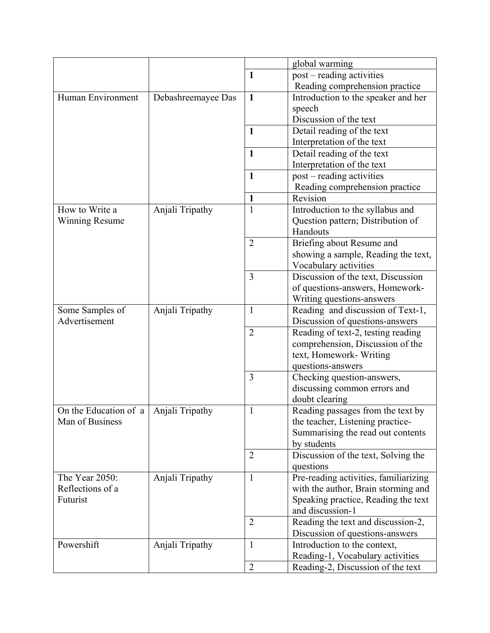|                       |                    |                   | global warming                                |
|-----------------------|--------------------|-------------------|-----------------------------------------------|
|                       |                    | $\mathbf{1}$      | post – reading activities                     |
|                       |                    |                   | Reading comprehension practice                |
| Human Environment     | Debashreemayee Das | $\mathbf{1}$      | Introduction to the speaker and her           |
|                       |                    |                   | speech                                        |
|                       |                    |                   | Discussion of the text                        |
|                       |                    | $\mathbf{1}$      | Detail reading of the text                    |
|                       |                    |                   | Interpretation of the text                    |
|                       |                    | $\mathbf{1}$      | Detail reading of the text                    |
|                       |                    |                   | Interpretation of the text                    |
|                       |                    | $\mathbf{1}$      | post – reading activities                     |
|                       |                    |                   | Reading comprehension practice                |
|                       |                    |                   | Revision                                      |
| How to Write a        |                    | 1<br>$\mathbf{1}$ |                                               |
|                       | Anjali Tripathy    |                   | Introduction to the syllabus and              |
| <b>Winning Resume</b> |                    |                   | Question pattern; Distribution of<br>Handouts |
|                       |                    |                   |                                               |
|                       |                    | $\overline{2}$    | Briefing about Resume and                     |
|                       |                    |                   | showing a sample, Reading the text,           |
|                       |                    |                   | Vocabulary activities                         |
|                       |                    | $\overline{3}$    | Discussion of the text, Discussion            |
|                       |                    |                   | of questions-answers, Homework-               |
|                       |                    |                   | Writing questions-answers                     |
| Some Samples of       | Anjali Tripathy    | $\mathbf{1}$      | Reading and discussion of Text-1,             |
| Advertisement         |                    |                   | Discussion of questions-answers               |
|                       |                    | $\overline{2}$    | Reading of text-2, testing reading            |
|                       |                    |                   | comprehension, Discussion of the              |
|                       |                    |                   | text, Homework- Writing                       |
|                       |                    |                   | questions-answers                             |
|                       |                    | $\overline{3}$    | Checking question-answers,                    |
|                       |                    |                   | discussing common errors and                  |
|                       |                    |                   | doubt clearing                                |
| On the Education of a | Anjali Tripathy    | 1                 | Reading passages from the text by             |
| Man of Business       |                    |                   | the teacher, Listening practice-              |
|                       |                    |                   | Summarising the read out contents             |
|                       |                    |                   | by students                                   |
|                       |                    | $\overline{2}$    | Discussion of the text, Solving the           |
|                       |                    |                   | questions                                     |
| The Year 2050:        | Anjali Tripathy    | $\mathbf{1}$      | Pre-reading activities, familiarizing         |
| Reflections of a      |                    |                   | with the author, Brain storming and           |
| Futurist              |                    |                   | Speaking practice, Reading the text           |
|                       |                    |                   | and discussion-1                              |
|                       |                    | $\overline{2}$    | Reading the text and discussion-2,            |
|                       |                    |                   | Discussion of questions-answers               |
| Powershift            | Anjali Tripathy    | $\mathbf{1}$      | Introduction to the context,                  |
|                       |                    |                   | Reading-1, Vocabulary activities              |
|                       |                    | $\overline{2}$    | Reading-2, Discussion of the text             |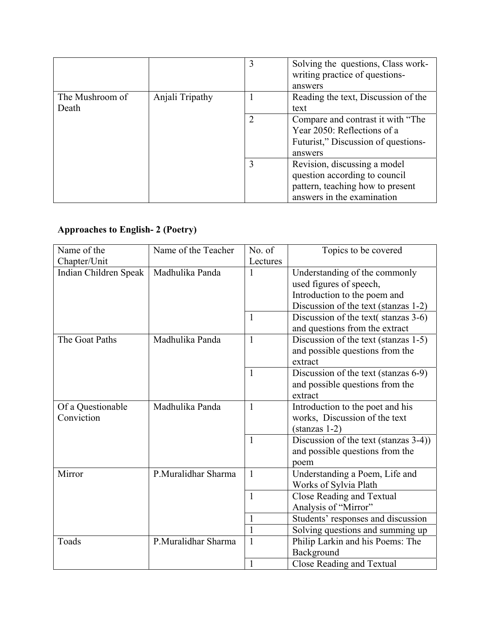|                          |                 | 3 | Solving the questions, Class work-<br>writing practice of questions-<br>answers                                                 |
|--------------------------|-----------------|---|---------------------------------------------------------------------------------------------------------------------------------|
| The Mushroom of<br>Death | Anjali Tripathy |   | Reading the text, Discussion of the<br>text                                                                                     |
|                          |                 | 2 | Compare and contrast it with "The<br>Year 2050: Reflections of a<br>Futurist," Discussion of questions-<br>answers              |
|                          |                 | 3 | Revision, discussing a model<br>question according to council<br>pattern, teaching how to present<br>answers in the examination |

## **Approaches to English- 2 (Poetry)**

| Name of the           | Name of the Teacher | No. of       | Topics to be covered                  |
|-----------------------|---------------------|--------------|---------------------------------------|
| Chapter/Unit          |                     | Lectures     |                                       |
| Indian Children Speak | Madhulika Panda     | 1            | Understanding of the commonly         |
|                       |                     |              | used figures of speech,               |
|                       |                     |              | Introduction to the poem and          |
|                       |                     |              | Discussion of the text (stanzas 1-2)  |
|                       |                     | $\mathbf{1}$ | Discussion of the text(stanzas 3-6)   |
|                       |                     |              | and questions from the extract        |
| The Goat Paths        | Madhulika Panda     | $\mathbf{1}$ | Discussion of the text (stanzas 1-5)  |
|                       |                     |              | and possible questions from the       |
|                       |                     |              | extract                               |
|                       |                     | $\mathbf{1}$ | Discussion of the text (stanzas 6-9)  |
|                       |                     |              | and possible questions from the       |
|                       |                     |              | extract                               |
| Of a Questionable     | Madhulika Panda     | 1            | Introduction to the poet and his      |
| Conviction            |                     |              | works, Discussion of the text         |
|                       |                     |              | $(\text{stanzas } 1-2)$               |
|                       |                     | $\mathbf{1}$ | Discussion of the text (stanzas 3-4)) |
|                       |                     |              | and possible questions from the       |
|                       |                     |              | poem                                  |
| Mirror                | P.Muralidhar Sharma | $\mathbf{1}$ | Understanding a Poem, Life and        |
|                       |                     |              | Works of Sylvia Plath                 |
|                       |                     | $\mathbf{1}$ | Close Reading and Textual             |
|                       |                     |              | Analysis of "Mirror"                  |
|                       |                     | 1            | Students' responses and discussion    |
|                       |                     | 1            | Solving questions and summing up      |
| Toads                 | P.Muralidhar Sharma | $\mathbf{1}$ | Philip Larkin and his Poems: The      |
|                       |                     |              | Background                            |
|                       |                     |              | <b>Close Reading and Textual</b>      |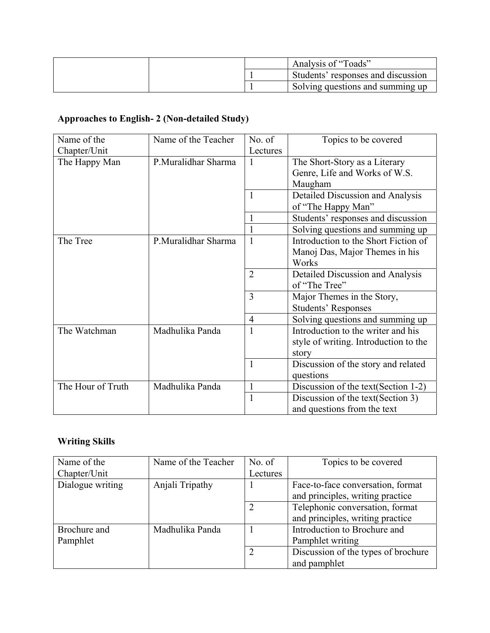|  | Analysis of "Toads"                |
|--|------------------------------------|
|  | Students' responses and discussion |
|  | Solving questions and summing up   |

## **Approaches to English- 2 (Non-detailed Study)**

| Name of the       | Name of the Teacher | No. of         | Topics to be covered                  |
|-------------------|---------------------|----------------|---------------------------------------|
| Chapter/Unit      |                     | Lectures       |                                       |
| The Happy Man     | P.Muralidhar Sharma | $\mathbf{1}$   | The Short-Story as a Literary         |
|                   |                     |                | Genre, Life and Works of W.S.         |
|                   |                     |                | Maugham                               |
|                   |                     |                | Detailed Discussion and Analysis      |
|                   |                     |                | of "The Happy Man"                    |
|                   |                     |                | Students' responses and discussion    |
|                   |                     |                | Solving questions and summing up      |
| The Tree          | P.Muralidhar Sharma | $\mathbf{1}$   | Introduction to the Short Fiction of  |
|                   |                     |                | Manoj Das, Major Themes in his        |
|                   |                     |                | Works                                 |
|                   |                     | $\overline{2}$ | Detailed Discussion and Analysis      |
|                   |                     |                | of "The Tree"                         |
|                   |                     | 3              | Major Themes in the Story,            |
|                   |                     |                | <b>Students' Responses</b>            |
|                   |                     | $\overline{4}$ | Solving questions and summing up      |
| The Watchman      | Madhulika Panda     | 1              | Introduction to the writer and his    |
|                   |                     |                | style of writing. Introduction to the |
|                   |                     |                | story                                 |
|                   |                     | 1              | Discussion of the story and related   |
|                   |                     |                | questions                             |
| The Hour of Truth | Madhulika Panda     | 1              | Discussion of the text (Section 1-2)  |
|                   |                     | 1              | Discussion of the text (Section 3)    |
|                   |                     |                | and questions from the text           |

## **Writing Skills**

| Name of the      | Name of the Teacher | No. of   | Topics to be covered                |
|------------------|---------------------|----------|-------------------------------------|
| Chapter/Unit     |                     | Lectures |                                     |
| Dialogue writing | Anjali Tripathy     |          | Face-to-face conversation, format   |
|                  |                     |          | and principles, writing practice    |
|                  |                     | 2        | Telephonic conversation, format     |
|                  |                     |          | and principles, writing practice    |
| Brochure and     | Madhulika Panda     |          | Introduction to Brochure and        |
| Pamphlet         |                     |          | Pamphlet writing                    |
|                  |                     | 2        | Discussion of the types of brochure |
|                  |                     |          | and pamphlet                        |